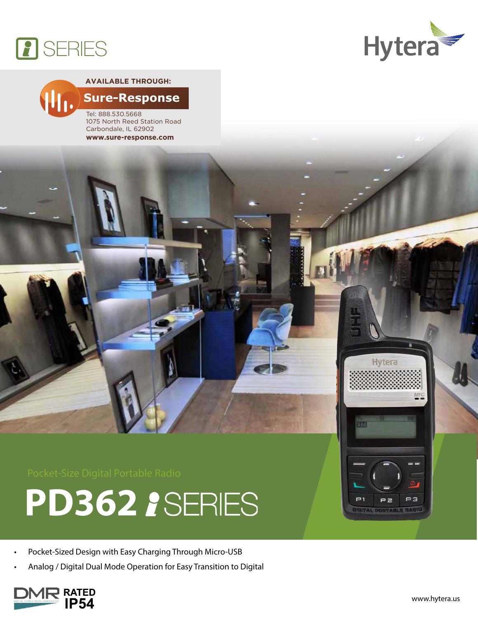



### **Available through:Sure-Response**

Tel: 888.530.5668 1075 North Reed Station Road Carbondale, IL 62902 **www.sure-response.com**





- Pocket-Sized Design with Easy Charging Through Micro-USB
- Analog / Digital Dual Mode Operation for Easy Transition to Digital



PЗ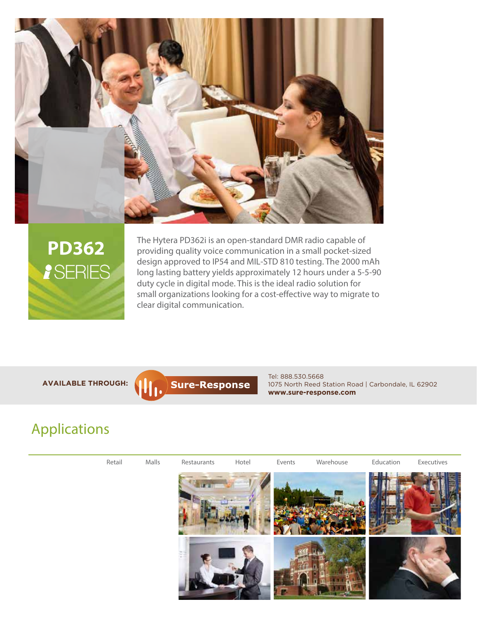



The Hytera PD362i is an open-standard DMR radio capable of providing quality voice communication in a small pocket-sized design approved to IP54 and MIL-STD 810 testing. The 2000 mAh long lasting battery yields approximately 12 hours under a 5-5-90 duty cycle in digital mode. This is the ideal radio solution for small organizations looking for a cost-effective way to migrate to clear digital communication.

**Available through:**



Tel: 888.530.5668 1075 North Reed Station Road | Carbondale, IL 62902 **www.sure-response.com**

# Applications

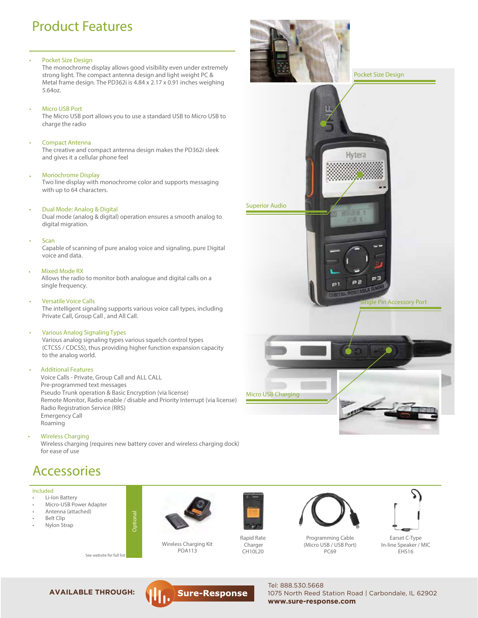# Product Features

#### Pocket Size Design

The monochrome display allows good visibility even under extremely strong light. The compact antenna design and light weight PC & Metal frame design. The PD362i is 4.84 x 2.17 x 0.91 inches weighing 5.64oz.

**Micro USB Port** 

The Micro USB port allows you to use a standard USB to Micro USB to charge the radio

### **Compact Antenna**

The creative and compact antenna design makes the PD362i sleek and gives it a cellular phone feel

#### • Monochrome Display

Two line display with monochrome color and supports messaging with up to 64 characters.

#### Dual Mode: Analog & Digital •

Dual mode (analog & digital) operation ensures a smooth analog to digital migration.

**Scan** 

Capable of scanning of pure analog voice and signaling, pure Digital voice and data.

### **Mixed Mode RX**

Allows the radio to monitor both analogue and digital calls on a single frequency.

#### Versatile Voice Calls

The intelligent signaling supports various voice call types, including Private Call, Group Call , and All Call.

### Various Analog Signaling Types

Various analog signaling types various squelch control types (CTCSS / CDCSS), thus providing higher function expansion capacity to the analog world.

#### • Additional Features

Voice Calls - Private, Group Call and ALL CALL Pre-programmed text messages Pseudo Trunk operation & Basic Encryption (via license) Remote Monitor, Radio enable / disable and Priority Interrupt (via license) Radio Registration Service (RRS) Emergency Call Roaming

Optional

• Wireless Charging Wireless charging (requires new battery cover and wireless charging dock)

## **Accessories**

for ease of use

#### Included

- **Li-Ion Battery**
- Micro-USB Power Adapter
- Antenna (attached) **Belt Clip**
- **Nylon Strap**
- 



See website for full list **EHS16**<br>See website for full list **EHS16** Wireless Charging Kit POA113



CH<sub>10</sub>L<sub>20</sub>



Tel: 888.530.5668



Programming Cable (Micro USB / USB Port) PC69



Earset C-Type In-line Speaker / MIC





1075 North Reed Station Road | Carbondale, IL 62902 **www.sure-response.com**